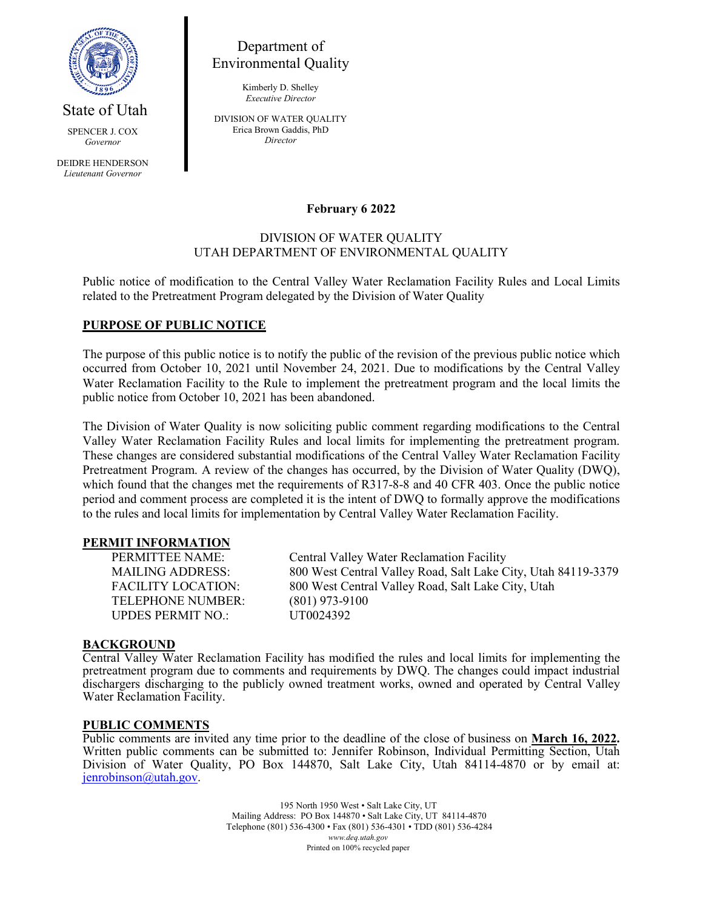

Department of Environmental Quality

> Kimberly D. Shelley *Executive Director*

State of Utah

DEIDRE HENDERSON *Lieutenant Governor*

SPENCER J. COX *Governor*

DIVISION OF WATER QUALITY Erica Brown Gaddis, PhD *Director*

# **February 6 2022**

# DIVISION OF WATER QUALITY UTAH DEPARTMENT OF ENVIRONMENTAL QUALITY

Public notice of modification to the Central Valley Water Reclamation Facility Rules and Local Limits related to the Pretreatment Program delegated by the Division of Water Quality

# **PURPOSE OF PUBLIC NOTICE**

The purpose of this public notice is to notify the public of the revision of the previous public notice which occurred from October 10, 2021 until November 24, 2021. Due to modifications by the Central Valley Water Reclamation Facility to the Rule to implement the pretreatment program and the local limits the public notice from October 10, 2021 has been abandoned.

The Division of Water Quality is now soliciting public comment regarding modifications to the Central Valley Water Reclamation Facility Rules and local limits for implementing the pretreatment program. These changes are considered substantial modifications of the Central Valley Water Reclamation Facility Pretreatment Program. A review of the changes has occurred, by the Division of Water Quality (DWQ), which found that the changes met the requirements of R317-8-8 and 40 CFR 403. Once the public notice period and comment process are completed it is the intent of DWQ to formally approve the modifications to the rules and local limits for implementation by Central Valley Water Reclamation Facility.

#### **PERMIT INFORMATION**

TELEPHONE NUMBER: (801) 973-9100 UPDES PERMIT NO.: UT0024392

PERMITTEE NAME: Central Valley Water Reclamation Facility MAILING ADDRESS: 800 West Central Valley Road, Salt Lake City, Utah 84119-3379 FACILITY LOCATION: 800 West Central Valley Road, Salt Lake City, Utah

### **BACKGROUND**

Central Valley Water Reclamation Facility has modified the rules and local limits for implementing the pretreatment program due to comments and requirements by DWQ. The changes could impact industrial dischargers discharging to the publicly owned treatment works, owned and operated by Central Valley Water Reclamation Facility.

#### **PUBLIC COMMENTS**

Public comments are invited any time prior to the deadline of the close of business on **March 16, 2022.** Written public comments can be submitted to: Jennifer Robinson, Individual Permitting Section, Utah Division of Water Quality, PO Box 144870, Salt Lake City, Utah 84114-4870 or by email at: [jenrobinson@utah.gov.](mailto:jenrobinson@utah.gov)

> 195 North 1950 West • Salt Lake City, UT Mailing Address: PO Box 144870 • Salt Lake City, UT 84114-4870 Telephone (801) 536-4300 • Fax (801) 536-4301 • TDD (801) 536-4284 *www.deq.utah.gov* Printed on 100% recycled paper